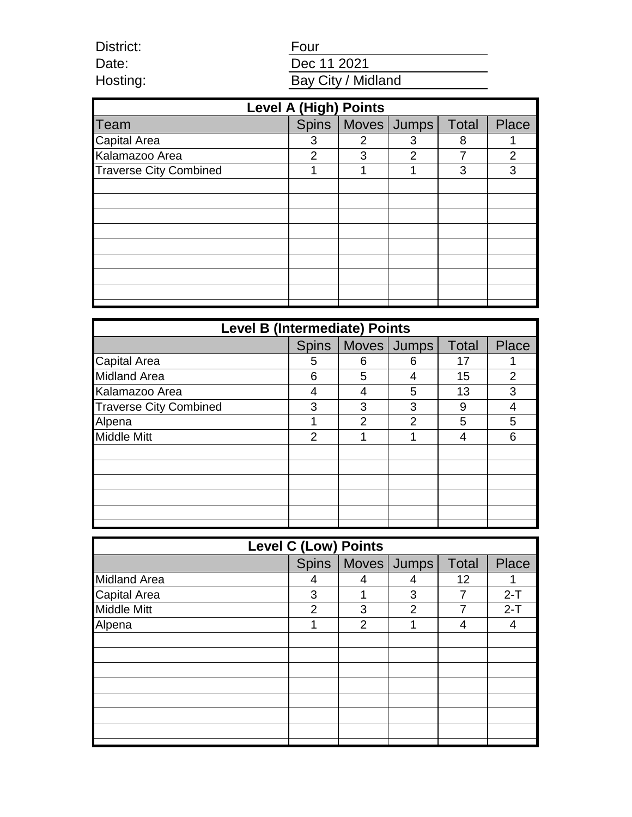Four Dec 11 2021 Bay City / Midland

District: Date: Hosting:

| <b>Level A (High) Points</b>  |                |              |                       |       |                |  |  |
|-------------------------------|----------------|--------------|-----------------------|-------|----------------|--|--|
| Team                          |                |              | Spins   Moves   Jumps | Total | Place          |  |  |
| <b>Capital Area</b>           | 3              | $\mathcal P$ | 3                     | 8     |                |  |  |
| Kalamazoo Area                | $\overline{2}$ | 3            | $\mathcal{P}$         | 7     | $\overline{2}$ |  |  |
| <b>Traverse City Combined</b> |                |              |                       | 3     | 3              |  |  |
|                               |                |              |                       |       |                |  |  |
|                               |                |              |                       |       |                |  |  |
|                               |                |              |                       |       |                |  |  |
|                               |                |              |                       |       |                |  |  |
|                               |                |              |                       |       |                |  |  |
|                               |                |              |                       |       |                |  |  |
|                               |                |              |                       |       |                |  |  |
|                               |                |              |                       |       |                |  |  |
|                               |                |              |                       |       |                |  |  |

| <b>Level B (Intermediate) Points</b> |                |                |                |       |                |  |  |
|--------------------------------------|----------------|----------------|----------------|-------|----------------|--|--|
|                                      | <b>Spins</b>   |                | Moves Jumps    | Total | <b>Place</b>   |  |  |
| <b>Capital Area</b>                  | 5              | 6              | 6              | 17    |                |  |  |
| <b>Midland Area</b>                  | 6              | 5              | 4              | 15    | $\overline{2}$ |  |  |
| Kalamazoo Area                       |                |                | 5              | 13    | 3              |  |  |
| <b>Traverse City Combined</b>        | 3              | 3              | 3              | 9     |                |  |  |
| Alpena                               |                | $\overline{2}$ | $\overline{2}$ | 5     | 5              |  |  |
| <b>Middle Mitt</b>                   | $\overline{2}$ |                |                | 4     | 6              |  |  |
|                                      |                |                |                |       |                |  |  |
|                                      |                |                |                |       |                |  |  |
|                                      |                |                |                |       |                |  |  |
|                                      |                |                |                |       |                |  |  |
|                                      |                |                |                |       |                |  |  |
|                                      |                |                |                |       |                |  |  |

| Level C (Low) Points |                |                |                       |              |              |  |  |
|----------------------|----------------|----------------|-----------------------|--------------|--------------|--|--|
|                      |                |                | Spins   Moves   Jumps | <b>Total</b> | <b>Place</b> |  |  |
| <b>Midland Area</b>  | 4              | 4              |                       | 12           |              |  |  |
| <b>Capital Area</b>  | 3              |                | 3                     |              | $2-T$        |  |  |
| <b>Middle Mitt</b>   | $\overline{2}$ | 3              | $\overline{2}$        | 7            | $2-T$        |  |  |
| Alpena               |                | $\overline{2}$ |                       | 4            | 4            |  |  |
|                      |                |                |                       |              |              |  |  |
|                      |                |                |                       |              |              |  |  |
|                      |                |                |                       |              |              |  |  |
|                      |                |                |                       |              |              |  |  |
|                      |                |                |                       |              |              |  |  |
|                      |                |                |                       |              |              |  |  |
|                      |                |                |                       |              |              |  |  |
|                      |                |                |                       |              |              |  |  |